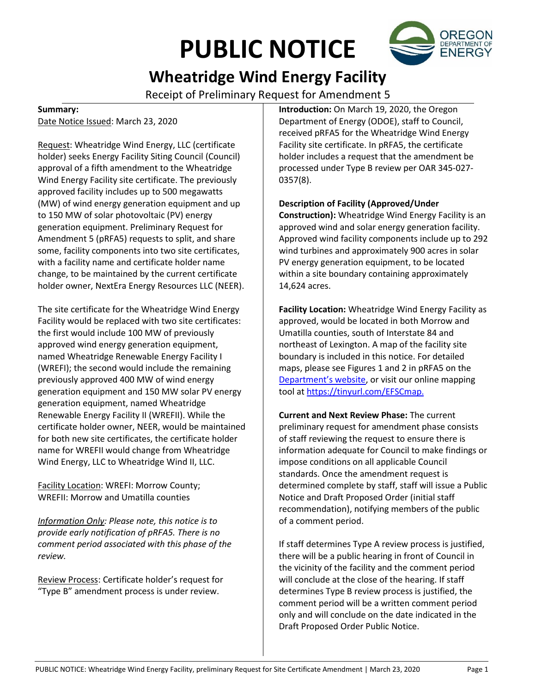# **PUBLIC NOTICE**



# **Wheatridge Wind Energy Facility**

Receipt of Preliminary Request for Amendment 5

# **Summary:**

Date Notice Issued: March 23, 2020

Request: Wheatridge Wind Energy, LLC (certificate holder) seeks Energy Facility Siting Council (Council) approval of a fifth amendment to the Wheatridge Wind Energy Facility site certificate. The previously approved facility includes up to 500 megawatts (MW) of wind energy generation equipment and up to 150 MW of solar photovoltaic (PV) energy generation equipment. Preliminary Request for Amendment 5 (pRFA5) requests to split, and share some, facility components into two site certificates, with a facility name and certificate holder name change, to be maintained by the current certificate holder owner, NextEra Energy Resources LLC (NEER).

The site certificate for the Wheatridge Wind Energy Facility would be replaced with two site certificates: the first would include 100 MW of previously approved wind energy generation equipment, named Wheatridge Renewable Energy Facility I (WREFI); the second would include the remaining previously approved 400 MW of wind energy generation equipment and 150 MW solar PV energy generation equipment, named Wheatridge Renewable Energy Facility II (WREFII). While the certificate holder owner, NEER, would be maintained for both new site certificates, the certificate holder name for WREFII would change from Wheatridge Wind Energy, LLC to Wheatridge Wind II, LLC.

Facility Location: WREFI: Morrow County; WREFII: Morrow and Umatilla counties

*Information Only: Please note, this notice is to provide early notification of pRFA5. There is no comment period associated with this phase of the review.*

Review Process: Certificate holder's request for "Type B" amendment process is under review.

**Introduction:** On March 19, 2020, the Oregon Department of Energy (ODOE), staff to Council, received pRFA5 for the Wheatridge Wind Energy Facility site certificate. In pRFA5, the certificate holder includes a request that the amendment be processed under Type B review per OAR 345-027- 0357(8).

**Description of Facility (Approved/Under** 

**Construction):** Wheatridge Wind Energy Facility is an approved wind and solar energy generation facility. Approved wind facility components include up to 292 wind turbines and approximately 900 acres in solar PV energy generation equipment, to be located within a site boundary containing approximately 14,624 acres.

**Facility Location:** Wheatridge Wind Energy Facility as approved, would be located in both Morrow and Umatilla counties, south of Interstate 84 and northeast of Lexington. A map of the facility site boundary is included in this notice. For detailed maps, please see Figures 1 and 2 in pRFA5 on the [Department's website](https://www.oregon.gov/energy/facilities-safety/facilities/Pages/WRW.aspx), or visit our online mapping tool a[t https://tinyurl.com/EFSCmap.](https://tinyurl.com/EFSCmap)

**Current and Next Review Phase:** The current preliminary request for amendment phase consists of staff reviewing the request to ensure there is information adequate for Council to make findings or impose conditions on all applicable Council standards. Once the amendment request is determined complete by staff, staff will issue a Public Notice and Draft Proposed Order (initial staff recommendation), notifying members of the public of a comment period.

If staff determines Type A review process is justified, there will be a public hearing in front of Council in the vicinity of the facility and the comment period will conclude at the close of the hearing. If staff determines Type B review process is justified, the comment period will be a written comment period only and will conclude on the date indicated in the Draft Proposed Order Public Notice.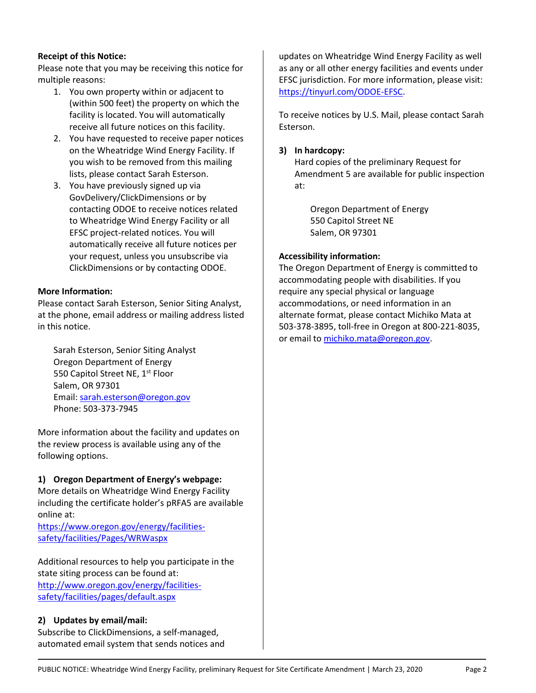#### **Receipt of this Notice:**

Please note that you may be receiving this notice for multiple reasons:

- 1. You own property within or adjacent to (within 500 feet) the property on which the facility is located. You will automatically receive all future notices on this facility.
- 2. You have requested to receive paper notices on the Wheatridge Wind Energy Facility. If you wish to be removed from this mailing lists, please contact Sarah Esterson.
- 3. You have previously signed up via GovDelivery/ClickDimensions or by contacting ODOE to receive notices related to Wheatridge Wind Energy Facility or all EFSC project-related notices. You will automatically receive all future notices per your request, unless you unsubscribe via ClickDimensions or by contacting ODOE.

#### **More Information:**

Please contact Sarah Esterson, Senior Siting Analyst, at the phone, email address or mailing address listed in this notice.

Sarah Esterson, Senior Siting Analyst Oregon Department of Energy 550 Capitol Street NE, 1<sup>st</sup> Floor Salem, OR 97301 Email: [sarah.esterson@oregon.gov](mailto:sarah.esterson@oregon.gov) Phone: 503-373-7945

More information about the facility and updates on the review process is available using any of the following options.

# **1) Oregon Department of Energy's webpage:**

More details on Wheatridge Wind Energy Facility including the certificate holder's pRFA5 are available online at:

[https://www.oregon.gov/energy/facilities](https://www.oregon.gov/energy/facilities-safety/facilities/Pages/WRW.aspx)[safety/facilities/Pages/WRWaspx](https://www.oregon.gov/energy/facilities-safety/facilities/Pages/WRW.aspx)

Additional resources to help you participate in the state siting process can be found at: [http://www.oregon.gov/energy/facilities](http://www.oregon.gov/energy/facilities-safety/facilities/pages/default.aspx)[safety/facilities/pages/default.aspx](http://www.oregon.gov/energy/facilities-safety/facilities/pages/default.aspx)

# **2) Updates by email/mail:**

Subscribe to ClickDimensions, a self-managed, automated email system that sends notices and updates on Wheatridge Wind Energy Facility as well as any or all other energy facilities and events under EFSC jurisdiction. For more information, please visit: [https://tinyurl.com/ODOE-EFSC.](https://tinyurl.com/ODOE-EFSC)

To receive notices by U.S. Mail, please contact Sarah Esterson.

#### **3) In hardcopy:**

Hard copies of the preliminary Request for Amendment 5 are available for public inspection at:

Oregon Department of Energy 550 Capitol Street NE Salem, OR 97301

#### **Accessibility information:**

The Oregon Department of Energy is committed to accommodating people with disabilities. If you require any special physical or language accommodations, or need information in an alternate format, please contact Michiko Mata at 503-378-3895, toll-free in Oregon at 800-221-8035, or email to [michiko.mata@oregon.gov.](mailto:michiko.mata@oregon.gov)